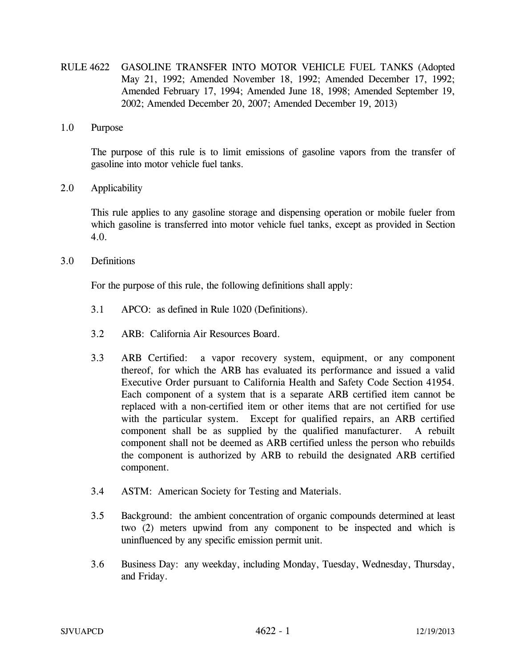- RULE 4622 GASOLINE TRANSFER INTO MOTOR VEHICLE FUEL TANKS (Adopted May 21, 1992; Amended November 18, 1992; Amended December 17, 1992; Amended February 17, 1994; Amended June 18, 1998; Amended September 19, 2002; Amended December 20, 2007; Amended December 19, 2013)
- 1.0 Purpose

 The purpose of this rule is to limit emissions of gasoline vapors from the transfer of gasoline into motor vehicle fuel tanks.

2.0 Applicability

 This rule applies to any gasoline storage and dispensing operation or mobile fueler from which gasoline is transferred into motor vehicle fuel tanks, except as provided in Section 4.0.

3.0 Definitions

For the purpose of this rule, the following definitions shall apply:

- 3.1 APCO: as defined in Rule 1020 (Definitions).
- 3.2 ARB: California Air Resources Board.
- 3.3 ARB Certified: a vapor recovery system, equipment, or any component thereof, for which the ARB has evaluated its performance and issued a valid Executive Order pursuant to California Health and Safety Code Section 41954. Each component of a system that is a separate ARB certified item cannot be replaced with a non-certified item or other items that are not certified for use with the particular system. Except for qualified repairs, an ARB certified component shall be as supplied by the qualified manufacturer. A rebuilt component shall not be deemed as ARB certified unless the person who rebuilds the component is authorized by ARB to rebuild the designated ARB certified component.
- 3.4 ASTM: American Society for Testing and Materials.
- 3.5 Background: the ambient concentration of organic compounds determined at least two (2) meters upwind from any component to be inspected and which is uninfluenced by any specific emission permit unit.
- 3.6 Business Day: any weekday, including Monday, Tuesday, Wednesday, Thursday, and Friday.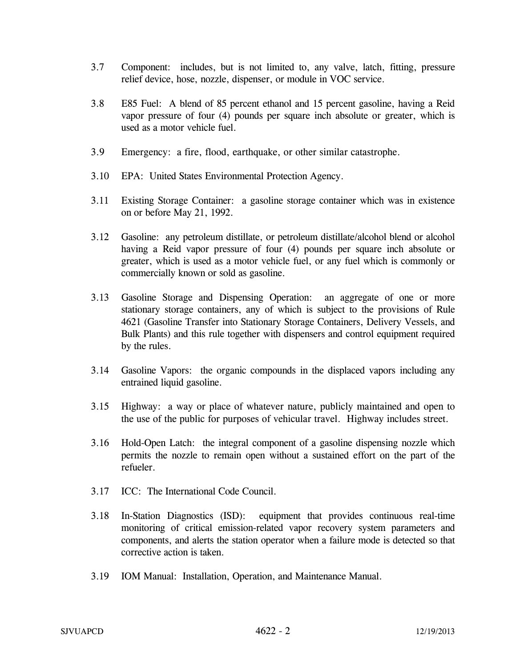- 3.7 Component: includes, but is not limited to, any valve, latch, fitting, pressure relief device, hose, nozzle, dispenser, or module in VOC service.
- 3.8 E85 Fuel: A blend of 85 percent ethanol and 15 percent gasoline, having a Reid vapor pressure of four (4) pounds per square inch absolute or greater, which is used as a motor vehicle fuel.
- 3.9 Emergency: a fire, flood, earthquake, or other similar catastrophe.
- 3.10 EPA: United States Environmental Protection Agency.
- 3.11 Existing Storage Container: a gasoline storage container which was in existence on or before May 21, 1992.
- 3.12 Gasoline: any petroleum distillate, or petroleum distillate/alcohol blend or alcohol having a Reid vapor pressure of four (4) pounds per square inch absolute or greater, which is used as a motor vehicle fuel, or any fuel which is commonly or commercially known or sold as gasoline.
- 3.13 Gasoline Storage and Dispensing Operation: an aggregate of one or more stationary storage containers, any of which is subject to the provisions of Rule 4621 (Gasoline Transfer into Stationary Storage Containers, Delivery Vessels, and Bulk Plants) and this rule together with dispensers and control equipment required by the rules.
- 3.14 Gasoline Vapors: the organic compounds in the displaced vapors including any entrained liquid gasoline.
- 3.15 Highway: a way or place of whatever nature, publicly maintained and open to the use of the public for purposes of vehicular travel. Highway includes street.
- 3.16 Hold-Open Latch: the integral component of a gasoline dispensing nozzle which permits the nozzle to remain open without a sustained effort on the part of the refueler.
- 3.17 ICC: The International Code Council.
- 3.18 In-Station Diagnostics (ISD): equipment that provides continuous real-time monitoring of critical emission-related vapor recovery system parameters and components, and alerts the station operator when a failure mode is detected so that corrective action is taken.
- 3.19 IOM Manual: Installation, Operation, and Maintenance Manual.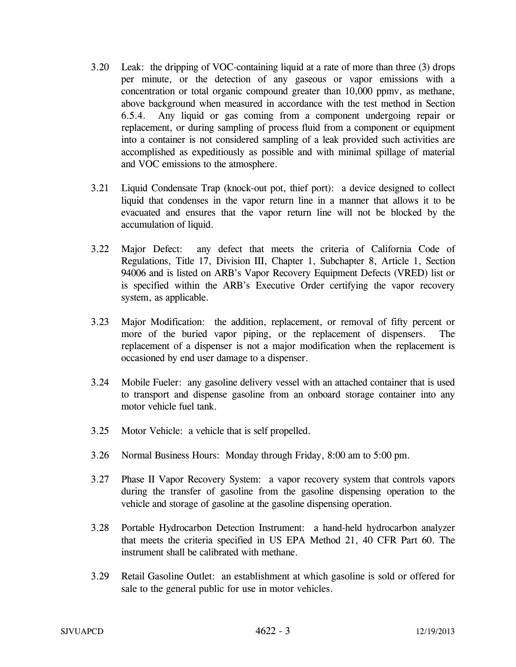- 3.20 Leak: the dripping of VOC-containing liquid at a rate of more than three (3) drops per minute, or the detection of any gaseous or vapor emissions with a concentration or total organic compound greater than 10,000 ppmv, as methane, above background when measured in accordance with the test method in Section 6.5.4. Any liquid or gas coming from a component undergoing repair or replacement, or during sampling of process fluid from a component or equipment into a container is not considered sampling of a leak provided such activities are accomplished as expeditiously as possible and with minimal spillage of material and VOC emissions to the atmosphere.
- 3.21 Liquid Condensate Trap (knock-out pot, thief port): a device designed to collect liquid that condenses in the vapor return line in a manner that allows it to be evacuated and ensures that the vapor return line will not be blocked by the accumulation of liquid.
- 3.22 Major Defect: any defect that meets the criteria of California Code of Regulations, Title 17, Division III, Chapter 1, Subchapter 8, Article 1, Section 94006 and is listed on ARB's Vapor Recovery Equipment Defects (VRED) list or is specified within the ARB's Executive Order certifying the vapor recovery system, as applicable.
- 3.23 Major Modification: the addition, replacement, or removal of fifty percent or more of the buried vapor piping, or the replacement of dispensers. The replacement of a dispenser is not a major modification when the replacement is occasioned by end user damage to a dispenser.
- 3.24 Mobile Fueler: any gasoline delivery vessel with an attached container that is used to transport and dispense gasoline from an onboard storage container into any motor vehicle fuel tank.
- 3.25 Motor Vehicle: a vehicle that is self propelled.
- 3.26 Normal Business Hours: Monday through Friday, 8:00 am to 5:00 pm.
- 3.27 Phase II Vapor Recovery System: a vapor recovery system that controls vapors during the transfer of gasoline from the gasoline dispensing operation to the vehicle and storage of gasoline at the gasoline dispensing operation.
- 3.28 Portable Hydrocarbon Detection Instrument: a hand-held hydrocarbon analyzer that meets the criteria specified in US EPA Method 21, 40 CFR Part 60. The instrument shall be calibrated with methane.
- 3.29 Retail Gasoline Outlet: an establishment at which gasoline is sold or offered for sale to the general public for use in motor vehicles.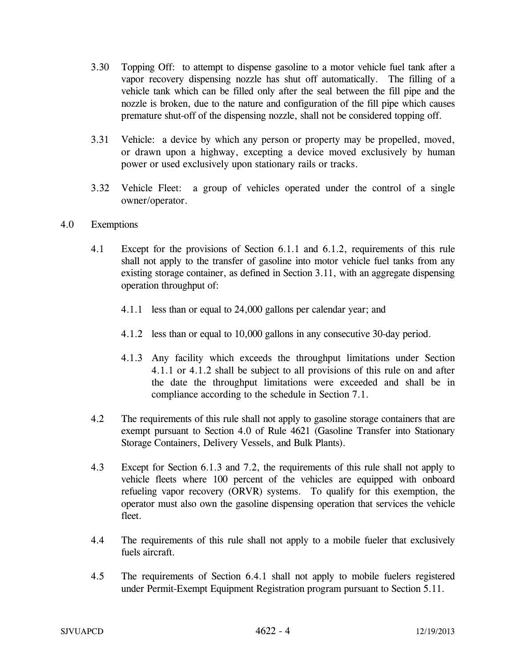- 3.30 Topping Off: to attempt to dispense gasoline to a motor vehicle fuel tank after a vapor recovery dispensing nozzle has shut off automatically. The filling of a vehicle tank which can be filled only after the seal between the fill pipe and the nozzle is broken, due to the nature and configuration of the fill pipe which causes premature shut-off of the dispensing nozzle, shall not be considered topping off.
- 3.31 Vehicle: a device by which any person or property may be propelled, moved, or drawn upon a highway, excepting a device moved exclusively by human power or used exclusively upon stationary rails or tracks.
- 3.32 Vehicle Fleet: a group of vehicles operated under the control of a single owner/operator.

## 4.0 Exemptions

- 4.1 Except for the provisions of Section 6.1.1 and 6.1.2, requirements of this rule shall not apply to the transfer of gasoline into motor vehicle fuel tanks from any existing storage container, as defined in Section 3.11, with an aggregate dispensing operation throughput of:
	- 4.1.1 less than or equal to 24,000 gallons per calendar year; and
	- 4.1.2 less than or equal to 10,000 gallons in any consecutive 30-day period.
	- 4.1.3 Any facility which exceeds the throughput limitations under Section 4.1.1 or 4.1.2 shall be subject to all provisions of this rule on and after the date the throughput limitations were exceeded and shall be in compliance according to the schedule in Section 7.1.
- 4.2 The requirements of this rule shall not apply to gasoline storage containers that are exempt pursuant to Section 4.0 of Rule 4621 (Gasoline Transfer into Stationary Storage Containers, Delivery Vessels, and Bulk Plants).
- 4.3 Except for Section 6.1.3 and 7.2, the requirements of this rule shall not apply to vehicle fleets where 100 percent of the vehicles are equipped with onboard refueling vapor recovery (ORVR) systems. To qualify for this exemption, the operator must also own the gasoline dispensing operation that services the vehicle fleet.
- 4.4 The requirements of this rule shall not apply to a mobile fueler that exclusively fuels aircraft.
- 4.5 The requirements of Section 6.4.1 shall not apply to mobile fuelers registered under Permit-Exempt Equipment Registration program pursuant to Section 5.11.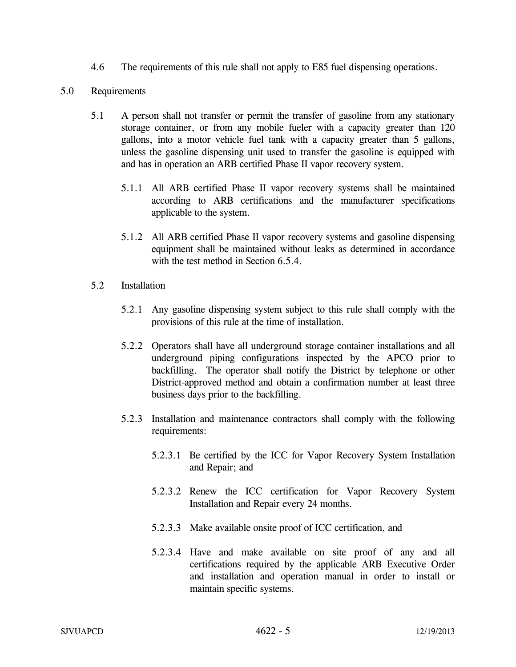4.6 The requirements of this rule shall not apply to E85 fuel dispensing operations.

## 5.0 Requirements

- 5.1 A person shall not transfer or permit the transfer of gasoline from any stationary storage container, or from any mobile fueler with a capacity greater than 120 gallons, into a motor vehicle fuel tank with a capacity greater than 5 gallons, unless the gasoline dispensing unit used to transfer the gasoline is equipped with and has in operation an ARB certified Phase II vapor recovery system.
	- 5.1.1 All ARB certified Phase II vapor recovery systems shall be maintained according to ARB certifications and the manufacturer specifications applicable to the system.
	- 5.1.2 All ARB certified Phase II vapor recovery systems and gasoline dispensing equipment shall be maintained without leaks as determined in accordance with the test method in Section 6.5.4.
- 5.2 Installation
	- 5.2.1 Any gasoline dispensing system subject to this rule shall comply with the provisions of this rule at the time of installation.
	- 5.2.2 Operators shall have all underground storage container installations and all underground piping configurations inspected by the APCO prior to backfilling. The operator shall notify the District by telephone or other District-approved method and obtain a confirmation number at least three business days prior to the backfilling.
	- 5.2.3 Installation and maintenance contractors shall comply with the following requirements:
		- 5.2.3.1 Be certified by the ICC for Vapor Recovery System Installation and Repair; and
		- 5.2.3.2 Renew the ICC certification for Vapor Recovery System Installation and Repair every 24 months.
		- 5.2.3.3 Make available onsite proof of ICC certification, and
		- 5.2.3.4 Have and make available on site proof of any and all certifications required by the applicable ARB Executive Order and installation and operation manual in order to install or maintain specific systems.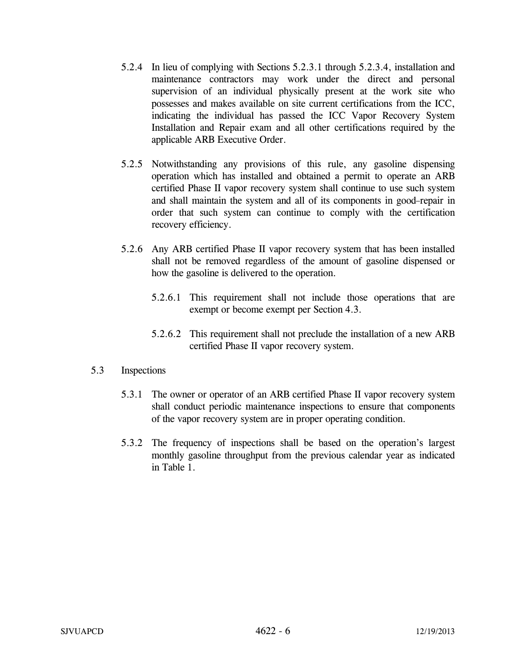- 5.2.4 In lieu of complying with Sections 5.2.3.1 through 5.2.3.4, installation and maintenance contractors may work under the direct and personal supervision of an individual physically present at the work site who possesses and makes available on site current certifications from the ICC, indicating the individual has passed the ICC Vapor Recovery System Installation and Repair exam and all other certifications required by the applicable ARB Executive Order.
- 5.2.5 Notwithstanding any provisions of this rule, any gasoline dispensing operation which has installed and obtained a permit to operate an ARB certified Phase II vapor recovery system shall continue to use such system and shall maintain the system and all of its components in good repair in order that such system can continue to comply with the certification recovery efficiency.
- 5.2.6 Any ARB certified Phase II vapor recovery system that has been installed shall not be removed regardless of the amount of gasoline dispensed or how the gasoline is delivered to the operation.
	- 5.2.6.1 This requirement shall not include those operations that are exempt or become exempt per Section 4.3.
	- 5.2.6.2 This requirement shall not preclude the installation of a new ARB certified Phase II vapor recovery system.

## 5.3 Inspections

- 5.3.1 The owner or operator of an ARB certified Phase II vapor recovery system shall conduct periodic maintenance inspections to ensure that components of the vapor recovery system are in proper operating condition.
- 5.3.2 The frequency of inspections shall be based on the operation's largest monthly gasoline throughput from the previous calendar year as indicated in Table 1.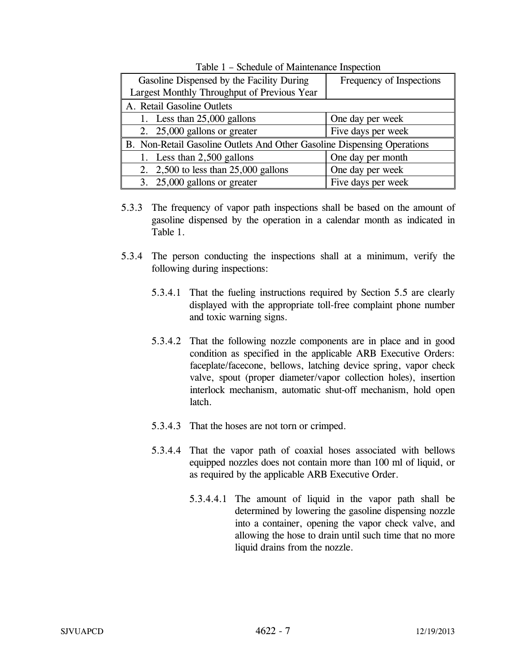| Gasoline Dispensed by the Facility During                               | Frequency of Inspections |
|-------------------------------------------------------------------------|--------------------------|
| Largest Monthly Throughput of Previous Year                             |                          |
| A. Retail Gasoline Outlets                                              |                          |
| 1. Less than $25,000$ gallons                                           | One day per week         |
| 2. 25,000 gallons or greater                                            | Five days per week       |
| B. Non-Retail Gasoline Outlets And Other Gasoline Dispensing Operations |                          |
| 1. Less than 2,500 gallons                                              | One day per month        |
| 2. $2,500$ to less than 25,000 gallons                                  | One day per week         |
| 3. $25,000$ gallons or greater                                          | Five days per week       |

Table 1 – Schedule of Maintenance Inspection

- 5.3.3 The frequency of vapor path inspections shall be based on the amount of gasoline dispensed by the operation in a calendar month as indicated in Table 1.
- 5.3.4 The person conducting the inspections shall at a minimum, verify the following during inspections:
	- 5.3.4.1 That the fueling instructions required by Section 5.5 are clearly displayed with the appropriate toll-free complaint phone number and toxic warning signs.
	- 5.3.4.2 That the following nozzle components are in place and in good condition as specified in the applicable ARB Executive Orders: faceplate/facecone, bellows, latching device spring, vapor check valve, spout (proper diameter/vapor collection holes), insertion interlock mechanism, automatic shut-off mechanism, hold open latch.
	- 5.3.4.3 That the hoses are not torn or crimped.
	- 5.3.4.4 That the vapor path of coaxial hoses associated with bellows equipped nozzles does not contain more than 100 ml of liquid, or as required by the applicable ARB Executive Order.
		- 5.3.4.4.1 The amount of liquid in the vapor path shall be determined by lowering the gasoline dispensing nozzle into a container, opening the vapor check valve, and allowing the hose to drain until such time that no more liquid drains from the nozzle.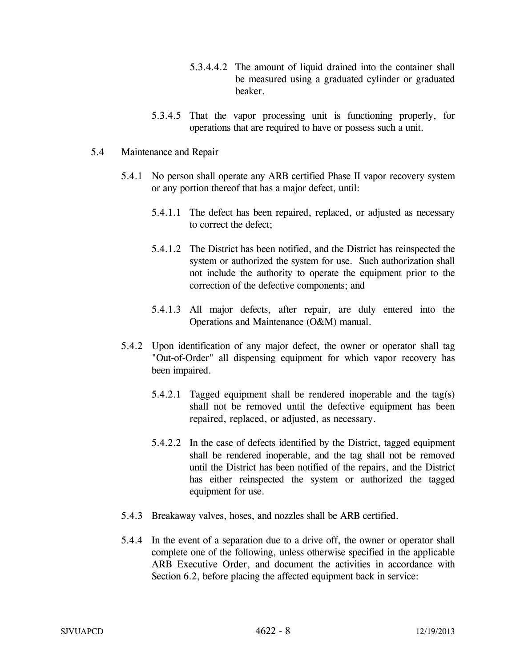- 5.3.4.4.2 The amount of liquid drained into the container shall be measured using a graduated cylinder or graduated beaker.
- 5.3.4.5 That the vapor processing unit is functioning properly, for operations that are required to have or possess such a unit.

## 5.4 Maintenance and Repair

- 5.4.1 No person shall operate any ARB certified Phase II vapor recovery system or any portion thereof that has a major defect, until:
	- 5.4.1.1 The defect has been repaired, replaced, or adjusted as necessary to correct the defect;
	- 5.4.1.2 The District has been notified, and the District has reinspected the system or authorized the system for use. Such authorization shall not include the authority to operate the equipment prior to the correction of the defective components; and
	- 5.4.1.3 All major defects, after repair, are duly entered into the Operations and Maintenance (O&M) manual.
- 5.4.2 Upon identification of any major defect, the owner or operator shall tag "Out-of-Order" all dispensing equipment for which vapor recovery has been impaired.
	- 5.4.2.1 Tagged equipment shall be rendered inoperable and the tag(s) shall not be removed until the defective equipment has been repaired, replaced, or adjusted, as necessary.
	- 5.4.2.2 In the case of defects identified by the District, tagged equipment shall be rendered inoperable, and the tag shall not be removed until the District has been notified of the repairs, and the District has either reinspected the system or authorized the tagged equipment for use.
- 5.4.3 Breakaway valves, hoses, and nozzles shall be ARB certified.
- 5.4.4 In the event of a separation due to a drive off, the owner or operator shall complete one of the following, unless otherwise specified in the applicable ARB Executive Order, and document the activities in accordance with Section 6.2, before placing the affected equipment back in service: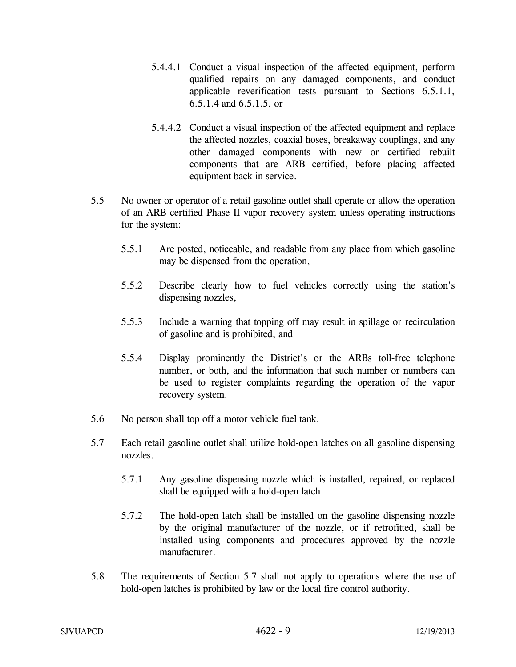- 5.4.4.1 Conduct a visual inspection of the affected equipment, perform qualified repairs on any damaged components, and conduct applicable reverification tests pursuant to Sections 6.5.1.1, 6.5.1.4 and 6.5.1.5, or
- 5.4.4.2 Conduct a visual inspection of the affected equipment and replace the affected nozzles, coaxial hoses, breakaway couplings, and any other damaged components with new or certified rebuilt components that are ARB certified, before placing affected equipment back in service.
- 5.5 No owner or operator of a retail gasoline outlet shall operate or allow the operation of an ARB certified Phase II vapor recovery system unless operating instructions for the system:
	- 5.5.1 Are posted, noticeable, and readable from any place from which gasoline may be dispensed from the operation,
	- 5.5.2 Describe clearly how to fuel vehicles correctly using the station's dispensing nozzles,
	- 5.5.3 Include a warning that topping off may result in spillage or recirculation of gasoline and is prohibited, and
	- 5.5.4 Display prominently the District's or the ARBs toll-free telephone number, or both, and the information that such number or numbers can be used to register complaints regarding the operation of the vapor recovery system.
- 5.6 No person shall top off a motor vehicle fuel tank.
- 5.7 Each retail gasoline outlet shall utilize hold-open latches on all gasoline dispensing nozzles.
	- 5.7.1 Any gasoline dispensing nozzle which is installed, repaired, or replaced shall be equipped with a hold-open latch.
	- 5.7.2 The hold-open latch shall be installed on the gasoline dispensing nozzle by the original manufacturer of the nozzle, or if retrofitted, shall be installed using components and procedures approved by the nozzle manufacturer.
- 5.8 The requirements of Section 5.7 shall not apply to operations where the use of hold-open latches is prohibited by law or the local fire control authority.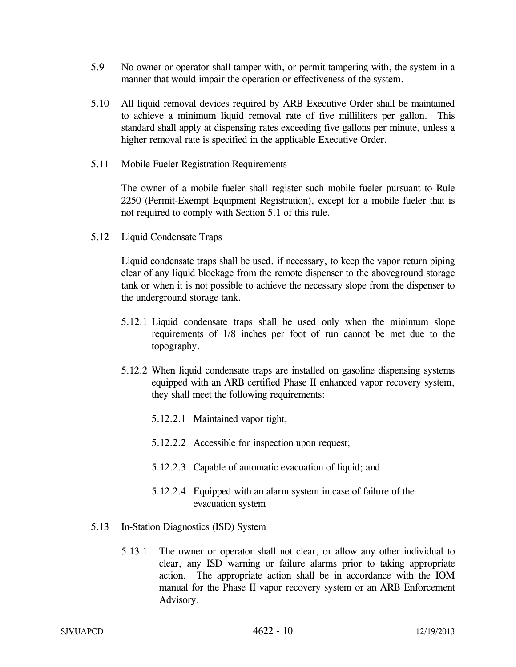- 5.9 No owner or operator shall tamper with, or permit tampering with, the system in a manner that would impair the operation or effectiveness of the system.
- 5.10 All liquid removal devices required by ARB Executive Order shall be maintained to achieve a minimum liquid removal rate of five milliliters per gallon. This standard shall apply at dispensing rates exceeding five gallons per minute, unless a higher removal rate is specified in the applicable Executive Order.
- 5.11 Mobile Fueler Registration Requirements

The owner of a mobile fueler shall register such mobile fueler pursuant to Rule 2250 (Permit-Exempt Equipment Registration), except for a mobile fueler that is not required to comply with Section 5.1 of this rule.

5.12 Liquid Condensate Traps

 Liquid condensate traps shall be used, if necessary, to keep the vapor return piping clear of any liquid blockage from the remote dispenser to the aboveground storage tank or when it is not possible to achieve the necessary slope from the dispenser to the underground storage tank.

- 5.12.1 Liquid condensate traps shall be used only when the minimum slope requirements of 1/8 inches per foot of run cannot be met due to the topography.
- 5.12.2 When liquid condensate traps are installed on gasoline dispensing systems equipped with an ARB certified Phase II enhanced vapor recovery system, they shall meet the following requirements:
	- 5.12.2.1 Maintained vapor tight;
	- 5.12.2.2 Accessible for inspection upon request;
	- 5.12.2.3 Capable of automatic evacuation of liquid; and
	- 5.12.2.4 Equipped with an alarm system in case of failure of the evacuation system
- 5.13 In-Station Diagnostics (ISD) System
	- 5.13.1 The owner or operator shall not clear, or allow any other individual to clear, any ISD warning or failure alarms prior to taking appropriate action. The appropriate action shall be in accordance with the IOM manual for the Phase II vapor recovery system or an ARB Enforcement Advisory.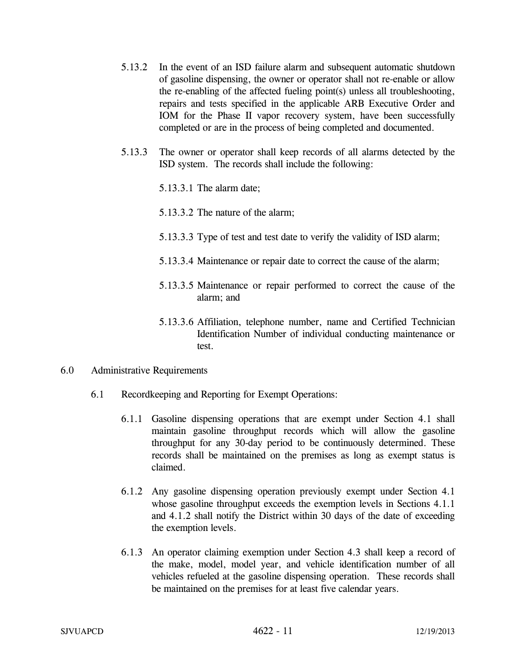- 5.13.2 In the event of an ISD failure alarm and subsequent automatic shutdown of gasoline dispensing, the owner or operator shall not re-enable or allow the re-enabling of the affected fueling point(s) unless all troubleshooting, repairs and tests specified in the applicable ARB Executive Order and IOM for the Phase II vapor recovery system, have been successfully completed or are in the process of being completed and documented.
- 5.13.3 The owner or operator shall keep records of all alarms detected by the ISD system. The records shall include the following:
	- 5.13.3.1 The alarm date;
	- 5.13.3.2 The nature of the alarm;
	- 5.13.3.3 Type of test and test date to verify the validity of ISD alarm;
	- 5.13.3.4 Maintenance or repair date to correct the cause of the alarm;
	- 5.13.3.5 Maintenance or repair performed to correct the cause of the alarm; and
	- 5.13.3.6 Affiliation, telephone number, name and Certified Technician Identification Number of individual conducting maintenance or test.
- 6.0 Administrative Requirements
	- 6.1 Recordkeeping and Reporting for Exempt Operations:
		- 6.1.1 Gasoline dispensing operations that are exempt under Section 4.1 shall maintain gasoline throughput records which will allow the gasoline throughput for any 30-day period to be continuously determined. These records shall be maintained on the premises as long as exempt status is claimed.
		- 6.1.2 Any gasoline dispensing operation previously exempt under Section 4.1 whose gasoline throughput exceeds the exemption levels in Sections 4.1.1 and 4.1.2 shall notify the District within 30 days of the date of exceeding the exemption levels.
		- 6.1.3 An operator claiming exemption under Section 4.3 shall keep a record of the make, model, model year, and vehicle identification number of all vehicles refueled at the gasoline dispensing operation. These records shall be maintained on the premises for at least five calendar years.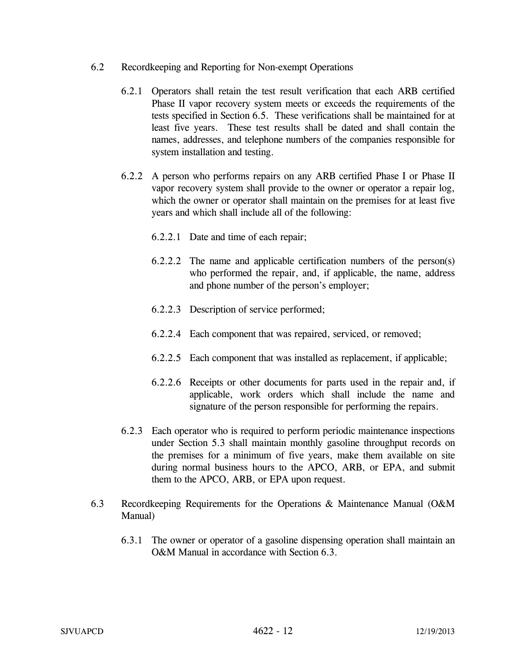- 6.2 Recordkeeping and Reporting for Non-exempt Operations
	- 6.2.1 Operators shall retain the test result verification that each ARB certified Phase II vapor recovery system meets or exceeds the requirements of the tests specified in Section 6.5. These verifications shall be maintained for at least five years. These test results shall be dated and shall contain the names, addresses, and telephone numbers of the companies responsible for system installation and testing.
	- 6.2.2 A person who performs repairs on any ARB certified Phase I or Phase II vapor recovery system shall provide to the owner or operator a repair log, which the owner or operator shall maintain on the premises for at least five years and which shall include all of the following:
		- 6.2.2.1 Date and time of each repair;
		- 6.2.2.2 The name and applicable certification numbers of the person(s) who performed the repair, and, if applicable, the name, address and phone number of the person's employer;
		- 6.2.2.3 Description of service performed;
		- 6.2.2.4 Each component that was repaired, serviced, or removed;
		- 6.2.2.5 Each component that was installed as replacement, if applicable;
		- 6.2.2.6 Receipts or other documents for parts used in the repair and, if applicable, work orders which shall include the name and signature of the person responsible for performing the repairs.
	- 6.2.3 Each operator who is required to perform periodic maintenance inspections under Section 5.3 shall maintain monthly gasoline throughput records on the premises for a minimum of five years, make them available on site during normal business hours to the APCO, ARB, or EPA, and submit them to the APCO, ARB, or EPA upon request.
- 6.3 Recordkeeping Requirements for the Operations & Maintenance Manual (O&M Manual)
	- 6.3.1 The owner or operator of a gasoline dispensing operation shall maintain an O&M Manual in accordance with Section 6.3.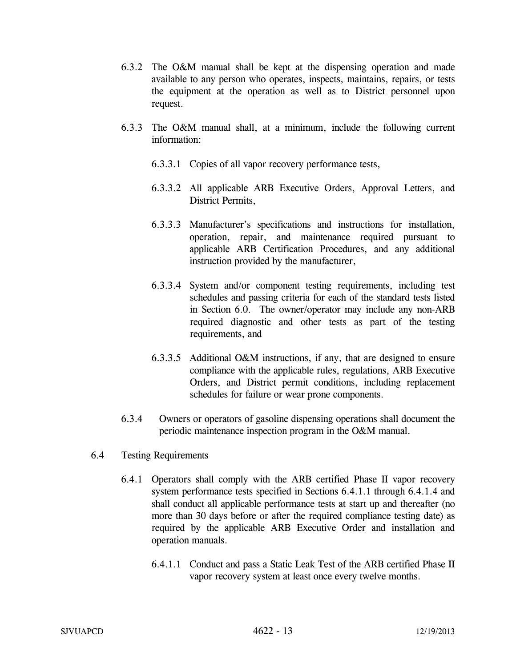- 6.3.2 The O&M manual shall be kept at the dispensing operation and made available to any person who operates, inspects, maintains, repairs, or tests the equipment at the operation as well as to District personnel upon request.
- 6.3.3 The O&M manual shall, at a minimum, include the following current information:
	- 6.3.3.1 Copies of all vapor recovery performance tests,
	- 6.3.3.2 All applicable ARB Executive Orders, Approval Letters, and District Permits,
	- 6.3.3.3 Manufacturer's specifications and instructions for installation, operation, repair, and maintenance required pursuant to applicable ARB Certification Procedures, and any additional instruction provided by the manufacturer,
	- 6.3.3.4 System and/or component testing requirements, including test schedules and passing criteria for each of the standard tests listed in Section 6.0. The owner/operator may include any non-ARB required diagnostic and other tests as part of the testing requirements, and
	- 6.3.3.5 Additional O&M instructions, if any, that are designed to ensure compliance with the applicable rules, regulations, ARB Executive Orders, and District permit conditions, including replacement schedules for failure or wear prone components.
- 6.3.4 Owners or operators of gasoline dispensing operations shall document the periodic maintenance inspection program in the O&M manual.
- 6.4 Testing Requirements
	- 6.4.1 Operators shall comply with the ARB certified Phase II vapor recovery system performance tests specified in Sections 6.4.1.1 through 6.4.1.4 and shall conduct all applicable performance tests at start up and thereafter (no more than 30 days before or after the required compliance testing date) as required by the applicable ARB Executive Order and installation and operation manuals.
		- 6.4.1.1 Conduct and pass a Static Leak Test of the ARB certified Phase II vapor recovery system at least once every twelve months.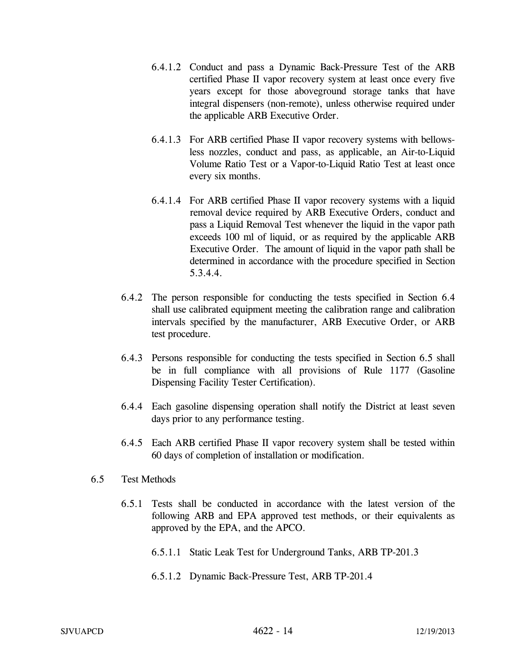- 6.4.1.2 Conduct and pass a Dynamic Back-Pressure Test of the ARB certified Phase II vapor recovery system at least once every five years except for those aboveground storage tanks that have integral dispensers (non-remote), unless otherwise required under the applicable ARB Executive Order.
- 6.4.1.3 For ARB certified Phase II vapor recovery systems with bellowsless nozzles, conduct and pass, as applicable, an Air-to-Liquid Volume Ratio Test or a Vapor-to-Liquid Ratio Test at least once every six months.
- 6.4.1.4 For ARB certified Phase II vapor recovery systems with a liquid removal device required by ARB Executive Orders, conduct and pass a Liquid Removal Test whenever the liquid in the vapor path exceeds 100 ml of liquid, or as required by the applicable ARB Executive Order. The amount of liquid in the vapor path shall be determined in accordance with the procedure specified in Section 5.3.4.4.
- 6.4.2 The person responsible for conducting the tests specified in Section 6.4 shall use calibrated equipment meeting the calibration range and calibration intervals specified by the manufacturer, ARB Executive Order, or ARB test procedure.
- 6.4.3 Persons responsible for conducting the tests specified in Section 6.5 shall be in full compliance with all provisions of Rule 1177 (Gasoline Dispensing Facility Tester Certification).
- 6.4.4 Each gasoline dispensing operation shall notify the District at least seven days prior to any performance testing.
- 6.4.5 Each ARB certified Phase II vapor recovery system shall be tested within 60 days of completion of installation or modification.
- 6.5 Test Methods
	- 6.5.1 Tests shall be conducted in accordance with the latest version of the following ARB and EPA approved test methods, or their equivalents as approved by the EPA, and the APCO.
		- 6.5.1.1 Static Leak Test for Underground Tanks, ARB TP-201.3
		- 6.5.1.2 Dynamic Back-Pressure Test, ARB TP-201.4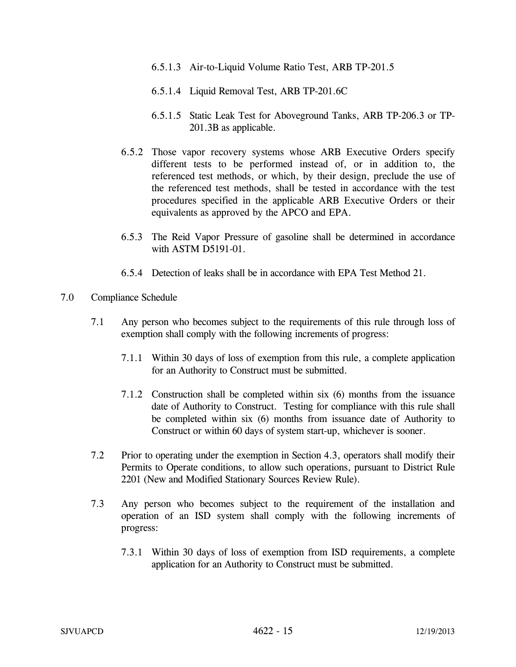- 6.5.1.3 Air-to-Liquid Volume Ratio Test, ARB TP-201.5
- 6.5.1.4 Liquid Removal Test, ARB TP-201.6C
- 6.5.1.5 Static Leak Test for Aboveground Tanks, ARB TP-206.3 or TP-201.3B as applicable.
- 6.5.2 Those vapor recovery systems whose ARB Executive Orders specify different tests to be performed instead of, or in addition to, the referenced test methods, or which, by their design, preclude the use of the referenced test methods, shall be tested in accordance with the test procedures specified in the applicable ARB Executive Orders or their equivalents as approved by the APCO and EPA.
- 6.5.3 The Reid Vapor Pressure of gasoline shall be determined in accordance with ASTM D5191-01.
- 6.5.4 Detection of leaks shall be in accordance with EPA Test Method 21.
- 7.0 Compliance Schedule
	- 7.1 Any person who becomes subject to the requirements of this rule through loss of exemption shall comply with the following increments of progress:
		- 7.1.1 Within 30 days of loss of exemption from this rule, a complete application for an Authority to Construct must be submitted.
		- 7.1.2 Construction shall be completed within six (6) months from the issuance date of Authority to Construct. Testing for compliance with this rule shall be completed within six (6) months from issuance date of Authority to Construct or within 60 days of system start-up, whichever is sooner.
	- 7.2 Prior to operating under the exemption in Section 4.3, operators shall modify their Permits to Operate conditions, to allow such operations, pursuant to District Rule 2201 (New and Modified Stationary Sources Review Rule).
	- 7.3 Any person who becomes subject to the requirement of the installation and operation of an ISD system shall comply with the following increments of progress:
		- 7.3.1 Within 30 days of loss of exemption from ISD requirements, a complete application for an Authority to Construct must be submitted.